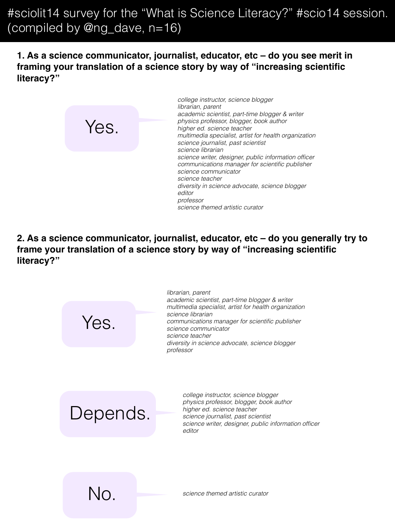**1. As a science communicator, journalist, educator, etc – do you see merit in framing your translation of a science story by way of "increasing scientific literacy?"**



*college instructor, science blogger librarian, parent academic scientist, part-time blogger & writer physics professor, blogger, book author higher ed. science teacher multimedia specialist, artist for health organization science journalist, past scientist science librarian science writer, designer, public information officer communications manager for scientific publisher science communicator science teacher diversity in science advocate, science blogger editor professor science themed artistic curator*

**2. As a science communicator, journalist, educator, etc – do you generally try to frame your translation of a science story by way of "increasing scientific literacy?"**

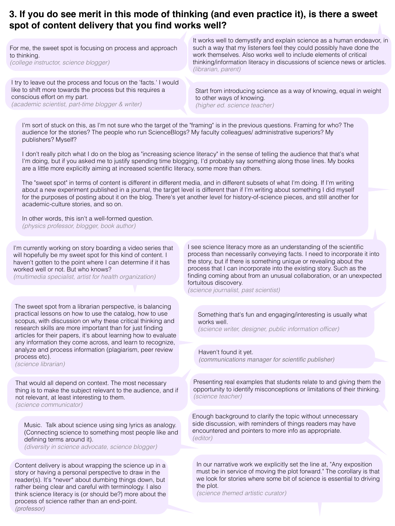### **3. If you do see merit in this mode of thinking (and even practice it), is there a sweet spot of content delivery that you find works well?**

For me, the sweet spot is focusing on process and approach to thinking. *(college instructor, science blogger)*

I try to leave out the process and focus on the 'facts.' I would like to shift more towards the process but this requires a conscious effort on my part. *(academic scientist, part-time blogger & writer)*

It works well to demystify and explain science as a human endeavor, in such a way that my listeners feel they could possibly have done the work themselves. Also works well to include elements of critical thinking/information literacy in discussions of science news or articles. *(librarian, parent)*

Start from introducing science as a way of knowing, equal in weight to other ways of knowing. *(higher ed. science teacher)*

I'm sort of stuck on this, as I'm not sure who the target of the "framing" is in the previous questions. Framing for who? The audience for the stories? The people who run ScienceBlogs? My faculty colleagues/ administrative superiors? My publishers? Myself?

I don't really pitch what I do on the blog as "increasing science literacy" in the sense of telling the audience that that's what I'm doing, but if you asked me to justify spending time blogging, I'd probably say something along those lines. My books are a little more explicitly aiming at increased scientific literacy, some more than others.

The "sweet spot" in terms of content is different in different media, and in different subsets of what I'm doing. If I'm writing about a new experiment published in a journal, the target level is different than if I'm writing about something I did myself for the purposes of posting about it on the blog. There's yet another level for history-of-science pieces, and still another for academic-culture stories, and so on.

In other words, this isn't a well-formed question. *(physics professor, blogger, book author)*

I'm currently working on story boarding a video series that will hopefully be my sweet spot for this kind of content. I haven't gotten to the point where I can determine if it has worked well or not. But who knows?

*(multimedia specialist, artist for health organization)*

The sweet spot from a librarian perspective, is balancing practical lessons on how to use the catalog, how to use scopus, with discussion on why these critical thinking and research skills are more important than for just finding articles for their papers, it's about learning how to evaluate any information they come across, and learn to recognize, analyze and process information (plagiarism, peer review process etc).

*(science librarian)*

That would all depend on context. The most necessary thing is to make the subject relevant to the audience, and if not relevant, at least interesting to them. *(science communicator)*

Music. Talk about science using sing lyrics as analogy. (Connecting science to something most people like and defining terms around it). *(diversity in science advocate, science blogger)*

Content delivery is about wrapping the science up in a story or having a personal perspective to draw in the reader(s). It's \*never\* about dumbing things down, but rather being clear and careful with terminology. I also think science literacy is (or should be?) more about the process of science rather than an end-point. *(professor)*

I see science literacy more as an understanding of the scientific process than necessarily conveying facts. I need to incorporate it into the story, but if there is something unique or revealing about the process that I can incorporate into the existing story. Such as the finding coming about from an unusual collaboration, or an unexpected fortuitous discovery.

*(science journalist, past scientist)*

Something that's fun and engaging/interesting is usually what works well.

*(science writer, designer, public information officer)*

Haven't found it yet. *(communications manager for scientific publisher)*

Presenting real examples that students relate to and giving them the opportunity to identify misconceptions or limitations of their thinking. *(science teacher)*

Enough background to clarify the topic without unnecessary side discussion, with reminders of things readers may have encountered and pointers to more info as appropriate. *(editor)*

In our narrative work we explicitly set the line at, "Any exposition must be in service of moving the plot forward." The corollary is that we look for stories where some bit of science is essential to driving the plot.

*(science themed artistic curator)*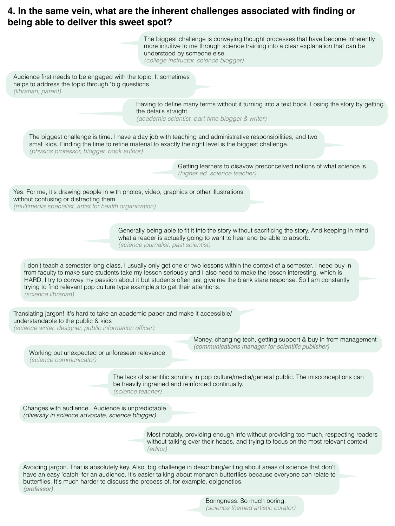# **4. In the same vein, what are the inherent challenges associated with finding or being able to deliver this sweet spot?**

| The biggest challenge is conveying thought processes that have become inherently<br>more intuitive to me through science training into a clear explanation that can be<br>understood by someone else.<br>(college instructor, science blogger)                                                                                                                                                                                                                                             |
|--------------------------------------------------------------------------------------------------------------------------------------------------------------------------------------------------------------------------------------------------------------------------------------------------------------------------------------------------------------------------------------------------------------------------------------------------------------------------------------------|
| Audience first needs to be engaged with the topic. It sometimes<br>helps to address the topic through "big questions."<br>(librarian, parent)                                                                                                                                                                                                                                                                                                                                              |
| Having to define many terms without it turning into a text book. Losing the story by getting<br>the details straight.<br>(academic scientist, part-time blogger & writer)                                                                                                                                                                                                                                                                                                                  |
| The biggest challenge is time. I have a day job with teaching and administrative responsibilities, and two<br>small kids. Finding the time to refine material to exactly the right level is the biggest challenge.<br>(physics professor, blogger, book author)                                                                                                                                                                                                                            |
| Getting learners to disavow preconceived notions of what science is.<br>(higher ed. science teacher)                                                                                                                                                                                                                                                                                                                                                                                       |
| Yes. For me, it's drawing people in with photos, video, graphics or other illustrations<br>without confusing or distracting them.<br>(multimedia specialist, artist for health organization)                                                                                                                                                                                                                                                                                               |
| Generally being able to fit it into the story without sacrificing the story. And keeping in mind<br>what a reader is actually going to want to hear and be able to absorb.<br>(science journalist, past scientist)                                                                                                                                                                                                                                                                         |
| I don't teach a semester long class, I usually only get one or two lessons within the context of a semester. I need buy in<br>from faculty to make sure students take my lesson seriously and I also need to make the lesson interesting, which is<br>HARD, I try to convey my passion about it but students often just give me the blank stare response. So I am constantly<br>trying to find relevant pop culture type example, s to get their attentions.<br><i>(science librarian)</i> |
| Translating jargon! It's hard to take an academic paper and make it accessible/<br>understandable to the public & kids<br>(science writer, designer, public information officer)                                                                                                                                                                                                                                                                                                           |
| Money, changing tech, getting support & buy in from management<br>(communications manager for scientific publisher)<br>Working out unexpected or unforeseen relevance.<br><i>(science communicator)</i>                                                                                                                                                                                                                                                                                    |
| The lack of scientific scrutiny in pop culture/media/general public. The misconceptions can<br>be heavily ingrained and reinforced continually.<br>(science teacher)                                                                                                                                                                                                                                                                                                                       |
| Changes with audience. Audience is unpredictable.<br>(diversity in science advocate, science blogger)                                                                                                                                                                                                                                                                                                                                                                                      |
| Most notably, providing enough info without providing too much, respecting readers<br>without talking over their heads, and trying to focus on the most relevant context.<br>(editor)                                                                                                                                                                                                                                                                                                      |
| Avoiding jargon. That is absolutely key. Also, big challenge in describing/writing about areas of science that don't<br>have an easy 'catch' for an audience. It's easier talking about monarch butterflies because everyone can relate to<br>butterflies. It's much harder to discuss the process of, for example, epigenetics.<br>(professor)                                                                                                                                            |
| Boringness. So much boring.                                                                                                                                                                                                                                                                                                                                                                                                                                                                |

*(science themed artistic curator)*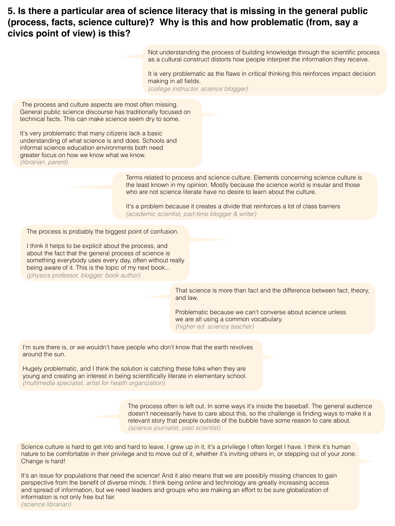### **5. Is there a particular area of science literacy that is missing in the general public (process, facts, science culture)? Why is this and how problematic (from, say a civics point of view) is this?**

Not understanding the process of building knowledge through the scientific process as a cultural construct distorts how people interpret the information they receive.

It is very problematic as the flaws in critical thinking this reinforces impact decision making in all fields.

*(college instructor, science blogger)*

 The process and culture aspects are most often missing. General public science discourse has traditionally focused on technical facts. This can make science seem dry to some.

It's very problematic that many citizens lack a basic understanding of what science is and does. Schools and informal science education environments both need greater focus on how we know what we know. *(librarian, parent)*

> Terms related to process and science culture. Elements concerning science culture is the least known in my opinion. Mostly because the science world is insular and those who are not science literate have no desire to learn about the culture.

It's a problem because it creates a divide that reinforces a lot of class barriers *(academic scientist, part-time blogger & writer)*

The process is probably the biggest point of confusion.

I think it helps to be explicit about the process, and about the fact that the general process of science is something everybody uses every day, often without really being aware of it. This is the topic of my next book... *(physics professor, blogger, book author)*

> That science is more than fact and the difference between fact, theory, and law.

Problematic because we can't converse about science unless we are all using a common vocabulary. *(higher ed. science teacher)*

I'm sure there is, or we wouldn't have people who don't know that the earth revolves around the sun.

Hugely problematic, and I think the solution is catching these folks when they are young and creating an interest in being scientifically literate in elementary school. *(multimedia specialist, artist for health organization)*

> The process often is left out. In some ways it's inside the baseball. The general audience doesn't necessarily have to care about this, so the challenge is finding ways to make it a relevant story that people outside of the bubble have some reason to care about. *(science journalist, past scientist)*

Science culture is hard to get into and hard to leave. I grew up in it, it's a privilege I often forget I have. I think it's human nature to be comfortable in their privilege and to move out of it, whether it's inviting others in, or stepping out of your zone. Change is hard!

It's an issue for populations that need the science! And it also means that we are possibly missing chances to gain perspective from the benefit of diverse minds. I think being online and technology are greatly increasing access and spread of information, but we need leaders and groups who are making an effort to be sure globalization of information is not only free but fair.

*(science librarian)*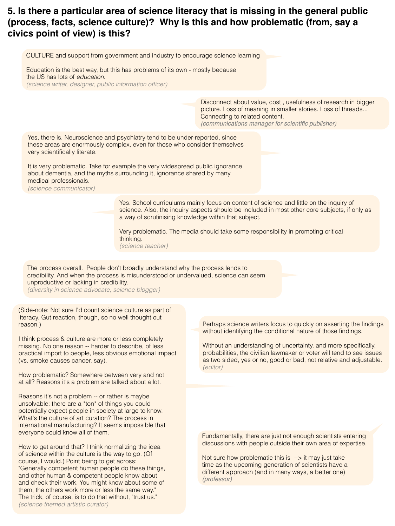# **5. Is there a particular area of science literacy that is missing in the general public (process, facts, science culture)? Why is this and how problematic (from, say a civics point of view) is this?**

CULTURE and support from government and industry to encourage science learning

Education is the best way, but this has problems of its own - mostly because the US has lots of *education*. *(science writer, designer, public information officer)*

> Disconnect about value, cost , usefulness of research in bigger picture. Loss of meaning in smaller stories. Loss of threads... Connecting to related content. *(communications manager for scientific publisher)*

Yes, there is. Neuroscience and psychiatry tend to be under-reported, since these areas are enormously complex, even for those who consider themselves very scientifically literate.

It is very problematic. Take for example the very widespread public ignorance about dementia, and the myths surrounding it, ignorance shared by many medical professionals.

*(science communicator)*

Yes. School curriculums mainly focus on content of science and little on the inquiry of science. Also, the inquiry aspects should be included in most other core subjects, if only as a way of scrutinising knowledge within that subject.

Very problematic. The media should take some responsibility in promoting critical thinking. *(science teacher)*

The process overall. People don't broadly understand why the process lends to credibility. And when the process is misunderstood or undervalued, science can seem unproductive or lacking in credibility.

*(diversity in science advocate, science blogger)*

(Side-note: Not sure I'd count science culture as part of literacy. Gut reaction, though, so no well thought out reason.)

I think process & culture are more or less completely missing. No one reason -- harder to describe, of less practical import to people, less obvious emotional impact (vs. smoke causes cancer, say).

How problematic? Somewhere between very and not at all? Reasons it's a problem are talked about a lot.

Reasons it's not a problem -- or rather is maybe unsolvable: there are a \*ton\* of things you could potentially expect people in society at large to know. What's the culture of art curation? The process in international manufacturing? It seems impossible that everyone could know all of them.

How to get around that? I think normalizing the idea of science within the culture is the way to go. (Of course, I would.) Point being to get across: "Generally competent human people do these things, and other human & competent people know about and check their work. You might know about some of them, the others work more or less the same way." The trick, of course, is to do that without, "trust us." *(science themed artistic curator)*

Perhaps science writers focus to quickly on asserting the findings without identifying the conditional nature of those findings.

Without an understanding of uncertainty, and more specifically, probabilities, the civilian lawmaker or voter will tend to see issues as two sided, yes or no, good or bad, not relative and adjustable. *(editor)*

Fundamentally, there are just not enough scientists entering discussions with people outside their own area of expertise.

Not sure how problematic this is --> it may just take time as the upcoming generation of scientists have a different approach (and in many ways, a better one) *(professor)*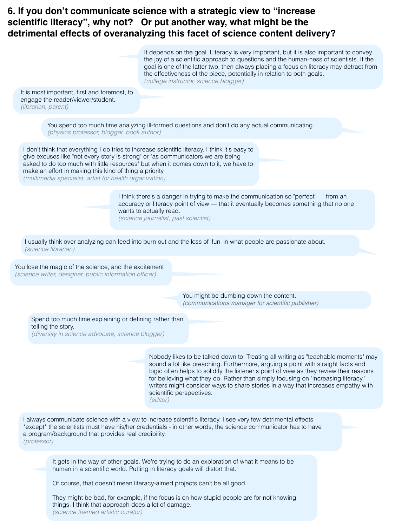### **6. If you don't communicate science with a strategic view to "increase scientific literacy", why not? Or put another way, what might be the detrimental effects of overanalyzing this facet of science content delivery?**



Of course, that doesn't mean literacy-aimed projects can't be all good.

They might be bad, for example, if the focus is on how stupid people are for not knowing things. I think that approach does a lot of damage. *(science themed artistic curator)*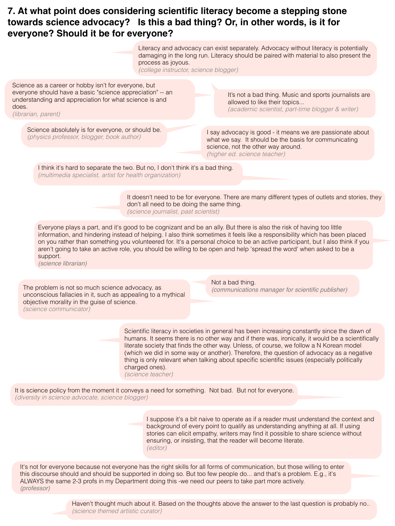### **7. At what point does considering scientific literacy become a stepping stone towards science advocacy? Is this a bad thing? Or, in other words, is it for everyone? Should it be for everyone?**



Haven't thought much about it. Based on the thoughts above the answer to the last question is probably no.. *(science themed artistic curator)*